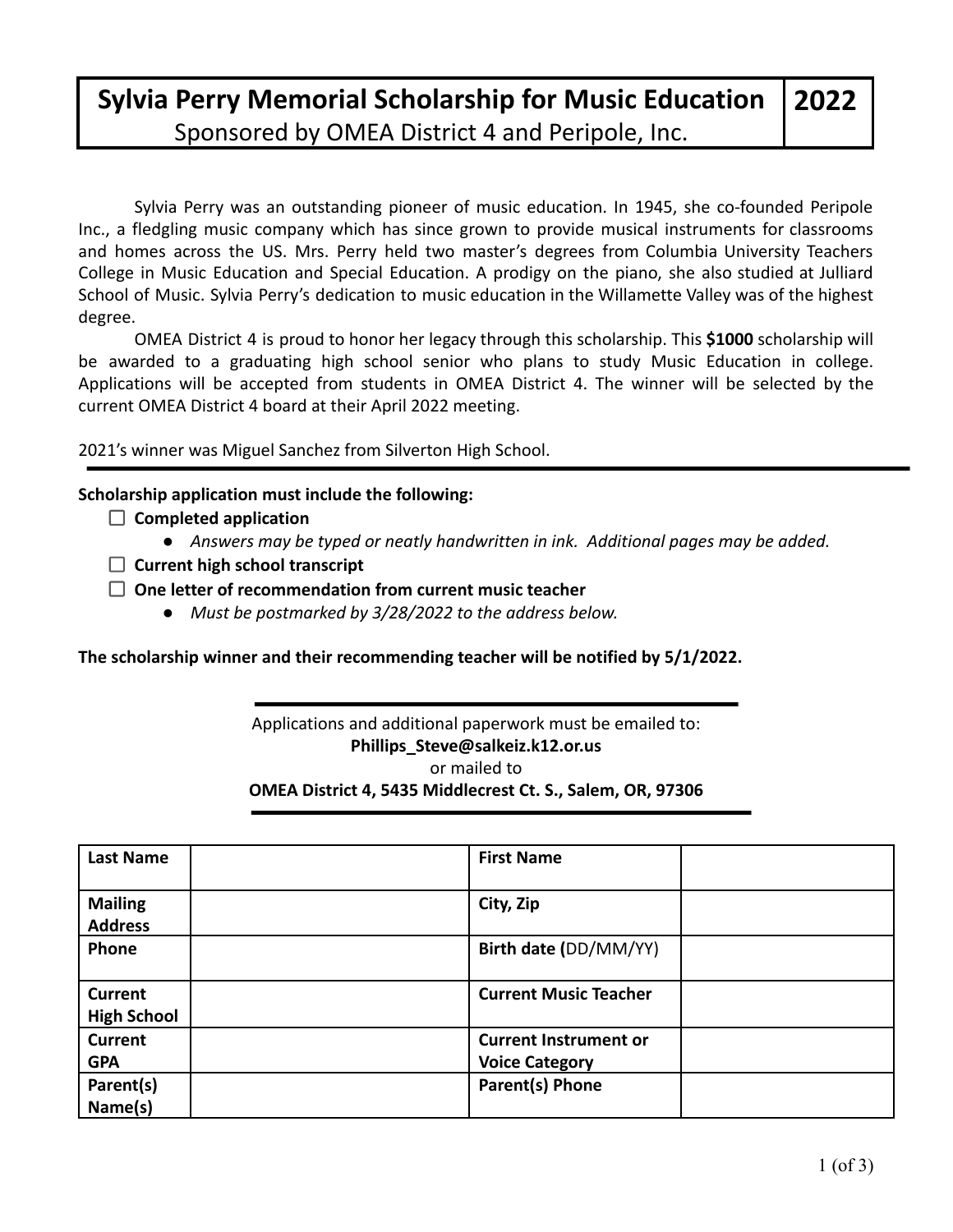### **Sylvia Perry Memorial Scholarship for Music Education** Sponsored by OMEA District 4 and Peripole, Inc.

Sylvia Perry was an outstanding pioneer of music education. In 1945, she co-founded Peripole Inc., a fledgling music company which has since grown to provide musical instruments for classrooms and homes across the US. Mrs. Perry held two master's degrees from Columbia University Teachers College in Music Education and Special Education. A prodigy on the piano, she also studied at Julliard School of Music. Sylvia Perry's dedication to music education in the Willamette Valley was of the highest degree.

OMEA District 4 is proud to honor her legacy through this scholarship. This **\$1000** scholarship will be awarded to a graduating high school senior who plans to study Music Education in college. Applications will be accepted from students in OMEA District 4. The winner will be selected by the current OMEA District 4 board at their April 2022 meeting.

2021's winner was Miguel Sanchez from Silverton High School.

#### **Scholarship application must include the following:**

- **Completed application**
	- *● Answers may be typed or neatly handwritten in ink. Additional pages may be added.*
- **Current high school transcript**
- **One letter of recommendation from current music teacher**
	- *● Must be postmarked by 3/28/2022 to the address below.*

**The scholarship winner and their recommending teacher will be notified by 5/1/2022.**

#### Applications and additional paperwork must be emailed to: **Phillips\_Steve@salkeiz.k12.or.us** or mailed to **OMEA District 4, 5435 Middlecrest Ct. S., Salem, OR, 97306**

| <b>Last Name</b>                 | <b>First Name</b>                                     |  |
|----------------------------------|-------------------------------------------------------|--|
| <b>Mailing</b><br><b>Address</b> | City, Zip                                             |  |
| Phone                            | Birth date (DD/MM/YY)                                 |  |
| Current<br><b>High School</b>    | <b>Current Music Teacher</b>                          |  |
| <b>Current</b><br><b>GPA</b>     | <b>Current Instrument or</b><br><b>Voice Category</b> |  |
| Parent(s)<br>Name(s)             | Parent(s) Phone                                       |  |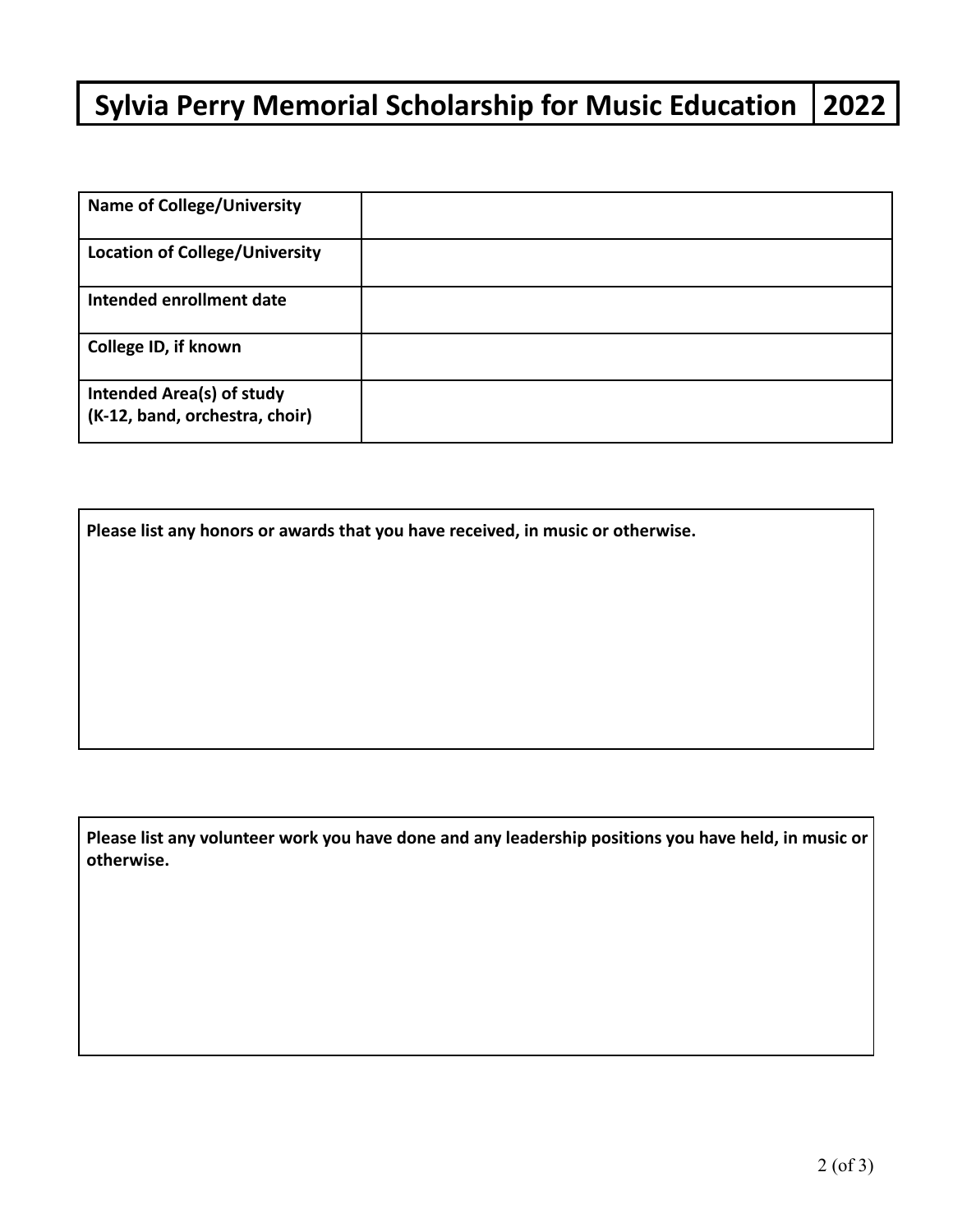## **Sylvia Perry Memorial Scholarship for Music Education 2022**

| <b>Name of College/University</b>                                  |  |
|--------------------------------------------------------------------|--|
| <b>Location of College/University</b>                              |  |
| Intended enrollment date                                           |  |
| College ID, if known                                               |  |
| <b>Intended Area(s) of study</b><br>(K-12, band, orchestra, choir) |  |

**Please list any honors or awards that you have received, in music or otherwise.**

**Please list any volunteer work you have done and any leadership positions you have held, in music or otherwise.**